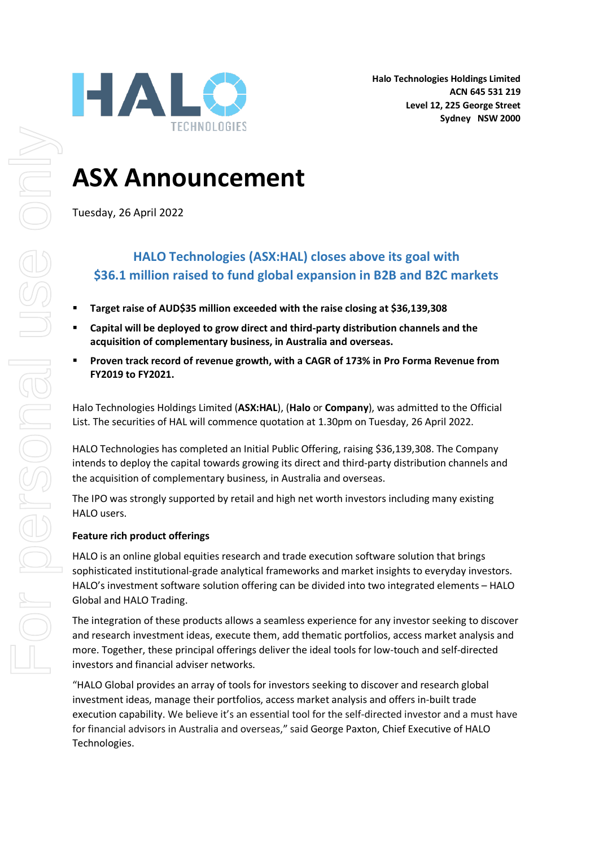# **ASX Announcement**

Tuesday, 26 April 2022

## **HALO Technologies (ASX:HAL) closes above its goal with \$36.1 million raised to fund global expansion in B2B and B2C markets**

- **Target raise of AUD\$35 million exceeded with the raise closing at \$36,139,308**
- **Capital will be deployed to grow direct and third-party distribution channels and the acquisition of complementary business, in Australia and overseas.**
- **Proven track record of revenue growth, with a CAGR of 173% in Pro Forma Revenue from FY2019 to FY2021.**

Halo Technologies Holdings Limited (**ASX:HAL**), (**Halo** or **Company**), was admitted to the Official List. The securities of HAL will commence quotation at 1.30pm on Tuesday, 26 April 2022.

HALO Technologies has completed an Initial Public Offering, raising \$36,139,308. The Company intends to deploy the capital towards growing its direct and third-party distribution channels and the acquisition of complementary business, in Australia and overseas.

The IPO was strongly supported by retail and high net worth investors including many existing HALO users.

### **Feature rich product offerings**

HALO is an online global equities research and trade execution software solution that brings sophisticated institutional-grade analytical frameworks and market insights to everyday investors. HALO's investment software solution offering can be divided into two integrated elements – HALO Global and HALO Trading.

The integration of these products allows a seamless experience for any investor seeking to discover and research investment ideas, execute them, add thematic portfolios, access market analysis and more. Together, these principal offerings deliver the ideal tools for low-touch and self-directed investors and financial adviser networks.

"HALO Global provides an array of tools for investors seeking to discover and research global investment ideas, manage their portfolios, access market analysis and offers in-built trade execution capability. We believe it's an essential tool for the self-directed investor and a must have for financial advisors in Australia and overseas," said George Paxton, Chief Executive of HALO Technologies.